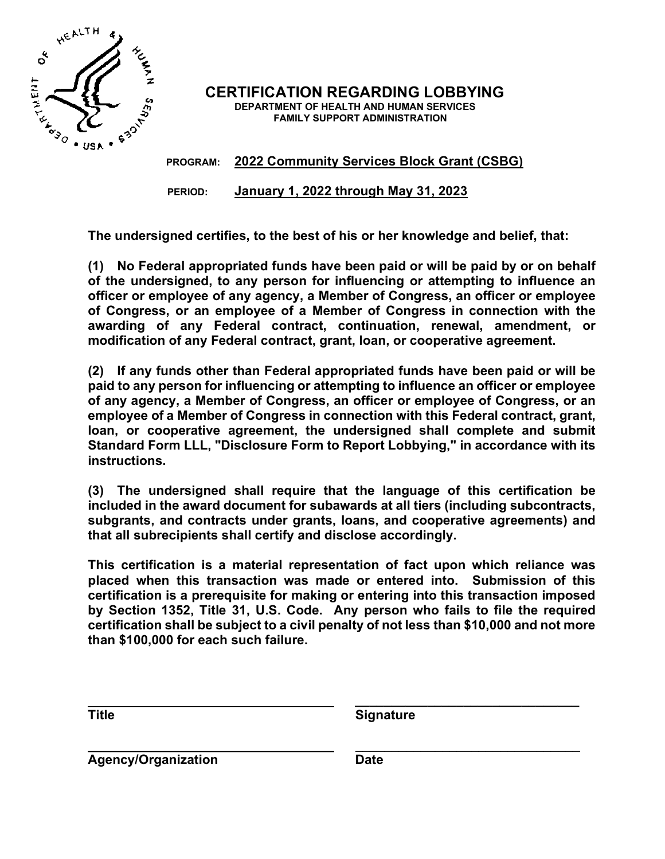

CERTIFICATION REGARDING LOBBYING DEPARTMENT OF HEALTH AND HUMAN SERVICES FAMILY SUPPORT ADMINISTRATION

PROGRAM: 2022 Community Services Block Grant (CSBG)

PERIOD: January 1, 2022 through May 31, 2023

The undersigned certifies, to the best of his or her knowledge and belief, that:

(1) No Federal appropriated funds have been paid or will be paid by or on behalf of the undersigned, to any person for influencing or attempting to influence an officer or employee of any agency, a Member of Congress, an officer or employee of Congress, or an employee of a Member of Congress in connection with the awarding of any Federal contract, continuation, renewal, amendment, or modification of any Federal contract, grant, loan, or cooperative agreement.

(2) If any funds other than Federal appropriated funds have been paid or will be paid to any person for influencing or attempting to influence an officer or employee of any agency, a Member of Congress, an officer or employee of Congress, or an employee of a Member of Congress in connection with this Federal contract, grant, loan, or cooperative agreement, the undersigned shall complete and submit Standard Form LLL, "Disclosure Form to Report Lobbying," in accordance with its instructions.

(3) The undersigned shall require that the language of this certification be included in the award document for subawards at all tiers (including subcontracts, subgrants, and contracts under grants, loans, and cooperative agreements) and that all subrecipients shall certify and disclose accordingly.

This certification is a material representation of fact upon which reliance was placed when this transaction was made or entered into. Submission of this certification is a prerequisite for making or entering into this transaction imposed by Section 1352, Title 31, U.S. Code. Any person who fails to file the required certification shall be subject to a civil penalty of not less than \$10,000 and not more than \$100,000 for each such failure.

\_\_\_\_\_\_\_\_\_\_\_\_\_\_\_\_\_\_\_\_\_\_\_\_\_\_\_\_\_\_\_

Title **Signature** Signature

 \_\_\_\_\_\_\_\_\_\_\_\_\_\_\_\_\_\_\_\_\_\_\_\_\_\_\_\_\_\_\_ Agency/Organization Date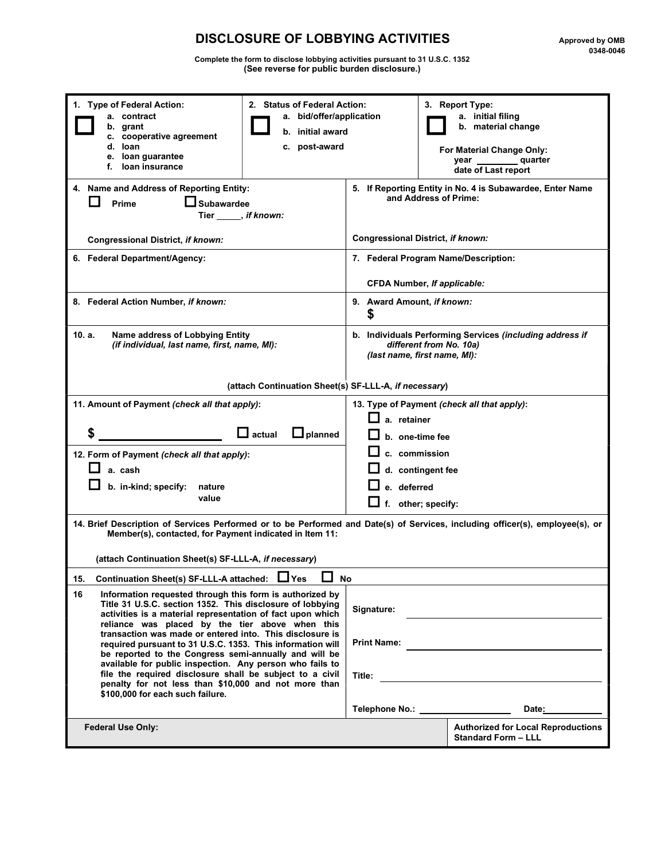## DISCLOSURE OF LOBBYING ACTIVITIES Approved by OMB Approved by OMB 0348-0046

Complete the form to disclose lobbying activities pursuant to 31 U.S.C. 1352 (See reverse for public burden disclosure.)

| 1. Type of Federal Action:<br>2. Status of Federal Action:<br>a. bid/offer/application<br>a. contract<br>grant<br>b.<br>b. initial award<br>c. cooperative agreement<br>d. Ioan<br>c. post-award<br>e. loan guarantee<br>f. Ioan insurance                                                                                                                                                                                                                                                                                                                                                                                                          | 3. Report Type:<br>a. initial filing<br>b. material change<br>For Material Change Only:<br>_ quarter<br>year<br>date of Last report                        |  |
|-----------------------------------------------------------------------------------------------------------------------------------------------------------------------------------------------------------------------------------------------------------------------------------------------------------------------------------------------------------------------------------------------------------------------------------------------------------------------------------------------------------------------------------------------------------------------------------------------------------------------------------------------------|------------------------------------------------------------------------------------------------------------------------------------------------------------|--|
| 4. Name and Address of Reporting Entity:<br>$\Box$ Subawardee<br>. .<br>Prime<br>Tier, if known:                                                                                                                                                                                                                                                                                                                                                                                                                                                                                                                                                    | 5. If Reporting Entity in No. 4 is Subawardee, Enter Name<br>and Address of Prime:                                                                         |  |
| Congressional District, if known:                                                                                                                                                                                                                                                                                                                                                                                                                                                                                                                                                                                                                   | Congressional District, if known:                                                                                                                          |  |
| 6. Federal Department/Agency:                                                                                                                                                                                                                                                                                                                                                                                                                                                                                                                                                                                                                       | 7. Federal Program Name/Description:<br><b>CFDA Number, If applicable:</b>                                                                                 |  |
| 8. Federal Action Number, if known:                                                                                                                                                                                                                                                                                                                                                                                                                                                                                                                                                                                                                 | 9. Award Amount, if known:<br>\$                                                                                                                           |  |
| 10. a.<br>Name address of Lobbying Entity<br>(if individual, last name, first, name, MI):                                                                                                                                                                                                                                                                                                                                                                                                                                                                                                                                                           | b. Individuals Performing Services (including address if<br>different from No. 10a)<br>(last name, first name, MI):                                        |  |
| (attach Continuation Sheet(s) SF-LLL-A, if necessary)                                                                                                                                                                                                                                                                                                                                                                                                                                                                                                                                                                                               |                                                                                                                                                            |  |
| 11. Amount of Payment (check all that apply):<br>\$<br>$\Box$ actual<br>$\Box$ planned                                                                                                                                                                                                                                                                                                                                                                                                                                                                                                                                                              | 13. Type of Payment (check all that apply):<br>a. retainer<br>b. one-time fee                                                                              |  |
| 12. Form of Payment (check all that apply):<br>a. cash<br>b. in-kind; specify:<br>nature<br>value                                                                                                                                                                                                                                                                                                                                                                                                                                                                                                                                                   | c. commission<br>d. contingent fee<br>e. deferred<br>f. other; specify:                                                                                    |  |
| 14. Brief Description of Services Performed or to be Performed and Date(s) of Services, including officer(s), employee(s), or<br>Member(s), contacted, for Payment indicated in Item 11:<br>(attach Continuation Sheet(s) SF-LLL-A, if necessary)                                                                                                                                                                                                                                                                                                                                                                                                   |                                                                                                                                                            |  |
| $\Box$ No<br>Continuation Sheet(s) SF-LLL-A attached: □ Yes<br>15.                                                                                                                                                                                                                                                                                                                                                                                                                                                                                                                                                                                  |                                                                                                                                                            |  |
| 16<br>Information requested through this form is authorized by<br>Title 31 U.S.C. section 1352. This disclosure of lobbying<br>activities is a material representation of fact upon which<br>reliance was placed by the tier above when this<br>transaction was made or entered into. This disclosure is<br>required pursuant to 31 U.S.C. 1353. This information will<br>be reported to the Congress semi-annually and will be<br>available for public inspection. Any person who fails to<br>file the required disclosure shall be subject to a civil<br>penalty for not less than \$10,000 and not more than<br>\$100,000 for each such failure. | Signature:<br><b>Print Name:</b><br><u> 1989 - John Stein, Amerikaansk politiker (</u><br>Title:<br>Telephone No.: ___________________<br>Date: __________ |  |
| <b>Federal Use Only:</b>                                                                                                                                                                                                                                                                                                                                                                                                                                                                                                                                                                                                                            | <b>Authorized for Local Reproductions</b><br><b>Standard Form - LLL</b>                                                                                    |  |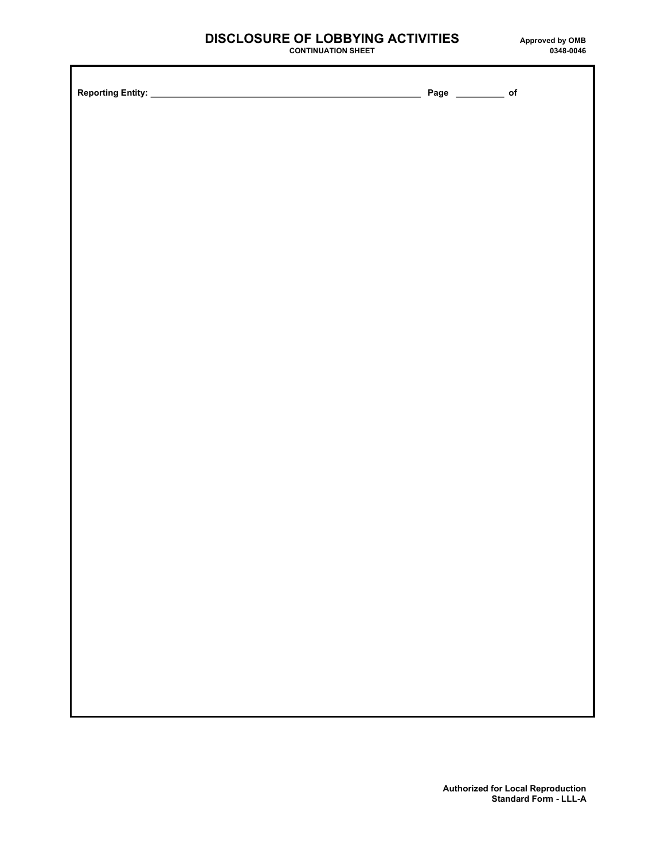## DISCLOSURE OF LOBBYING ACTIVITIES<br>CONTINUATION SHEET D348-0046

CONTINUATION SHEET